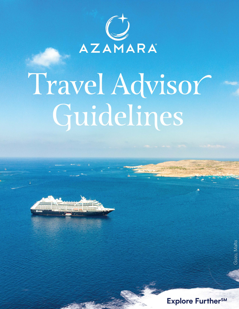

# Travel Advisor Guidelines



Gozo, Malta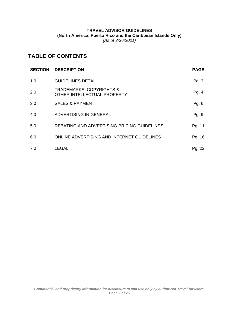### **TRAVEL ADVISOR GUIDELINES (North America, Puerto Rico and the Caribbean Islands Only)** *(As of 3/26/2021)*

# **TABLE OF CONTENTS**

| <b>SECTION</b> | <b>DESCRIPTION</b>                                                 | <b>PAGE</b> |
|----------------|--------------------------------------------------------------------|-------------|
| 1.0            | <b>GUIDELINES DETAIL</b>                                           | Pg. 3       |
| 2.0            | <b>TRADEMARKS, COPYRIGHTS &amp;</b><br>OTHER INTELLECTUAL PROPERTY | Pg. 4       |
| 3.0            | <b>SALES &amp; PAYMENT</b>                                         | Pg. 6       |
| 4.0            | ADVERTISING IN GENERAL                                             | Pg. 9       |
| 5.0            | REBATING AND ADVERTISING PRICING GUIDELINES                        | Pg. 11      |
| 6.0            | ONLINE ADVERTISING AND INTERNET GUIDELINES                         | Pg. 16      |
| 7.0            | <b>LEGAL</b>                                                       | Pg. 22      |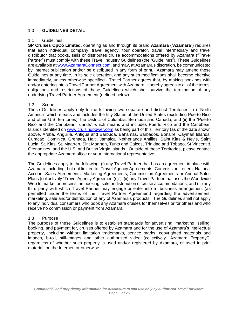### <span id="page-2-0"></span>1.0 **GUIDELINES DETAIL**

### 1.1 Guidelines

**SP Cruises OpCo Limited,** operating as and through its brand **Azamara** ("**Azamara**") requires that each individual, company, travel agency, tour operator, travel intermediary and travel distributor that books, sells or distributes cruise accommodations offered by Azamara ("Travel Partner") must comply with these Travel Industry Guidelines (the "Guidelines"). These Guidelines are available a[t www.A](http://www.cruisingpower.com/)zamaraConnect.com, and may, at Azamara's discretion, be communicated by Internet publication and/or be distributed in any form of print. Azamara may amend these Guidelines at any time, in its sole discretion, and any such modifications shall become effective immediately, unless otherwise specified. Travel Partner agrees that, by making bookings with and/or entering into a Travel Partner Agreement with Azamara, it hereby agrees to all of the terms, obligations and restrictions of these Guidelines which shall survive the termination of any underlying Travel Partner Agreement (defined below).

### 1.2 Scope

These Guidelines apply only to the following two separate and distinct Territories: (i) "North America" which means and includes the fifty States of the United States (excluding Puerto Rico and other U.S. territories), the District of Columbia, Bermuda and Canada; and (ii) the "Puerto Rico and the Caribbean Islands" which means and includes Puerto Rico and the Caribbean Islands identified on [www.cruisingpower.com](http://www.cruisingpower.com/) as being part of this Territory (as of the date shown above, Aruba, Anguilla, Antigua and Barbuda, Bahamas, Barbados, Bonaire, Cayman Islands, Curacao, Dominica, Grenada, Haiti, Jamaica, Netherlands Antilles, Saint Kitts & Nevis, Saint Lucia, St. Kitts, St. Maarten, Sint Maarten, Turks and Caicos, Trinidad and Tobago, St Vincent & Grenadines, and the U.S. and British Virgin Islands. Outside of these Territories, please contact the appropriate Azamara office or your international representative.

The Guidelines apply to the following: (i) any Travel Partner that has an agreement in place with Azamara, including, but not limited to, Travel Agency Agreements, Commission Letters, National Account Sales Agreements, Marketing Agreements, Commission Agreements or Annual Sales Plans (collectively "Travel Agency Agreement(s)"); (ii) any Travel Partner that uses the Worldwide Web to market or process the booking, sale or distribution of cruise accommodations; and (iii) any third party with which Travel Partner may engage or enter into a business arrangement (as permitted under the terms of the Travel Partner Agreement) regarding the advertisement, marketing, sale and/or distribution of any of Azamara's products. The Guidelines shall not apply to any individual consumers who book any Azamara cruises for themselves or for others and who receive no commission or payment from Azamara.

### 1.3 Purpose

The purpose of these Guidelines is to establish standards for advertising, marketing, selling, booking, and payment for, cruises offered by Azamara and for the use of Azamara's intellectual property, including without limitation trademarks, service marks, copyrighted materials and images, b-roll, still-images and other authorized video (collectively "Azamara Property"), regardless of whether such property is used and/or registered by Azamara, or used in print material, on the Internet, or otherwise.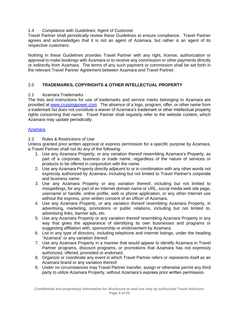### <span id="page-3-0"></span>1.4 Compliance with Guidelines; Agent of Customer

Travel Partner shall periodically review these Guidelines to ensure compliance. Travel Partner agrees and acknowledges that it is not an agent of Azamara, but rather is an agent of its respective customers.

Nothing in these Guidelines provides Travel Partner with any right, license, authorization or approval to make bookings with Azamara or to receive any commission or other payments directly or indirectly from Azamara. The terms of any such payment or commission shall be set forth in the relevant Travel Partner Agreement between Azamara and Travel Partner.

# 2.0 **TRADEMARKS, COPYRIGHTS & OTHER INTELLECTUAL PROPERTY**

### 2.1 Azamara Trademarks

The lists and instructions for use of trademarks and service marks belonging to Azamara are provided at [www.cruisingpower.com.](http://www.cruisingpower.com/) The absence of a logo, program, offer, or other name from a trademark list does not constitute a waiver of Azamara's trademark or other intellectual property rights concerning that name. Travel Partner shall regularly refer to the website content, which Azamara may update periodically.

### [Azamara](https://secure.cruisingpower.com/content/PDF/az_Trademark_081910.pdf)

### 2.2 Rules & Restrictions of Use

Unless granted prior written approval or express permission for a specific purpose by Azamara, a Travel Partner shall not do any of the following:

- 1. Use any Azamara Property, or any variation thereof resembling Azamara's Property, as part of a corporate, business or trade name, regardless of the nature of services or products to be offered in conjunction with the name.
- 2. Use any Azamara Property directly adjacent to or in combination with any other words not expressly authorized by Azamara, including but not limited to Travel Partner's corporate and business name.
- 3. Use any Azamara Property or any variation thereof, including but not limited to misspellings, for any part of an Internet domain name or URL, social media web site page, username or handle, online profile, web or phone application, or any other Internet use without the express, prior written consent of an officer of Azamara.
- 4. Use any Azamara Property, or any variation thereof resembling Azamara Property, in advertising, marketing, promotions or public relations, including but not limited to, advertising links, banner ads, etc.
- 5. Use any Azamara Property or any variation thereof resembling Azamara Property in any way that gives the appearance of identifying its own businesses and programs or suggesting affiliation with, sponsorship or endorsement by Azamara.
- 6. List in any type of directory, including telephone and internet listings, under the heading "Azamara" or any variation thereof.
- 7. Use any Azamara Property in a manner that would appear to identify Azamara in Travel Partner programs, discount programs, or promotions that Azamara has not expressly authorized, offered, promoted or endorsed.
- 8. Organize or coordinate any event in which Travel Partner refers or represents itself as an Azamara brand or any variation thereof.
- 9. Under no circumstances may Travel Partner transfer, assign or otherwise permit any third party to utilize Azamara Property, without Azamara's express prior written permission.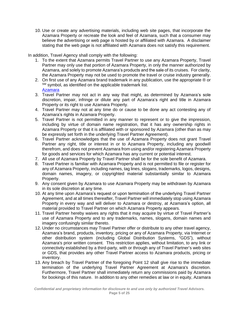10. Use or create any advertising materials, including web site pages, that incorporate the Azamara Property or recreate the look and feel of Azamara, such that a consumer may believe the advertising or web page is hosted by or affiliated with Azamara. A disclaimer stating that the web page is not affiliated with Azamara does not satisfy this requirement.

In addition, Travel Agency shall comply with the following:

- 1. To the extent that Azamara permits Travel Partner to use any Azamara Property, Travel Partner may only use that portion of Azamara Property, in only the manner authorized by Azamara, and solely to promote Azamara's products and the sale of its cruises. For clarity, the Azamara Property may not be used to promote the travel or cruise industry generally.
- 2. On first use of any Azamara brand trademark in any publication, use the appropriate ® or SM symbol, as identified on the applicable trademark list. [Azamara](https://secure.cruisingpower.com/content/PDF/az_Trademark_081910.pdf)
- 3. Travel Partner may not act in any way that might, as determined by Azamara's sole discretion, impair, infringe or dilute any part of Azamara's right and title in Azamara Property or its right to use Azamara Property.
- 4. Travel Partner may not at any time do or cause to be done any act contesting any of Azamara's rights in Azamara Property.
- 5. Travel Partner is not permitted in any manner to represent or to give the impression, including by virtue of domain name registration, that it has any ownership rights in Azamara Property or that it is affiliated with or sponsored by Azamara (other than as may be expressly set forth in the underlying Travel Partner Agreement).
- 6. Travel Partner acknowledges that the use of Azamara Property does not grant Travel Partner any right, title or interest in or to Azamara Property, including any goodwill therefrom, and does not prevent Azamara from using and/or registering Azamara Property for goods and services for which Azamara has any current or potential interest.
- 7. All use of Azamara Property by Travel Partner shall be for the sole benefit of Azamara.
- 8. Travel Partner is familiar with Azamara Property and is not permitted to file or register for any of Azamara Property, including names, tag lines, slogans, trademarks, logos, designs, domain names, imagery, or copyrighted material substantially similar to Azamara Property.
- 9. Any consent given by Azamara to use Azamara Property may be withdrawn by Azamara in its sole discretion at any time.
- 10. At any time upon Azamara's request or upon termination of the underlying Travel Partner Agreement, and at all times thereafter, Travel Partner will immediately stop using Azamara Property in every way and will deliver to Azamara or destroy, at Azamara's option, all material provided to Travel Partner on which Azamara Property appears.
- 11. Travel Partner hereby waives any rights that it may acquire by virtue of Travel Partner's use of Azamara Property and to any trademarks, names, slogans, domain names and imagery confusingly similar thereto.
- 12. Under no circumstances may Travel Partner offer or distribute to any other travel agency, Azamara's brand, products, inventory, pricing or any of Azamara Property, via Internet or other distribution system (including Global Distribution Systems, "GDS"), without Azamara's prior written consent. This restriction applies, without limitation, to any link or connectivity established by a third-party, with or through any of Travel Partner's web sites or GDS, that provides any other Travel Partner access to Azamara products, pricing or inventory.
- 13. Any breach by Travel Partner of the foregoing Point 12 shall give rise to the immediate termination of the underlying Travel Partner Agreement at Azamara's discretion. Furthermore, Travel Partner shall immediately return any commissions paid by Azamara for bookings of this nature. In addition to any other remedies at law or in equity, Azamara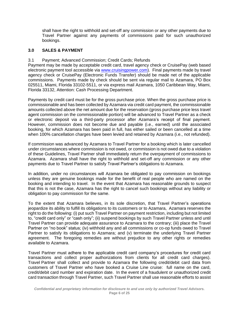<span id="page-5-0"></span>shall have the right to withhold and set-off any commission or any other payments due to Travel Partner against any payments of commissions paid for such unauthorized bookings.

# **3.0 SALES & PAYMENT**

# 3.1 Payment; Advanced Commission; Credit Cards; Refunds

Payment may be made by acceptable credit card, travel agency check or CruisePay (web based electronic payment tool accessible via [www.cruisingpower.com\)](http://www.cruisingpower.com/). Final payments made by travel agency check or CruisePay (Electronic Funds Transfer) should be made net of the applicable commissions. Payments made by check should be sent via regular mail to Azamara, PO Box 025511, Miami, Florida 33102-5511, or via express mail Azamara, 1050 Caribbean Way, Miami, Florida 33132, Attention: Cash Processing Department.

Payments by credit card must be for the gross purchase price. When the gross purchase price is commissionable and has been collected by Azamara via credit card payment, the commissionable amounts collected above the net amount due for the reservation (gross purchase price less travel agent commission on the commissionable portion) will be advanced to Travel Partner as a check or electronic deposit via a third-party processor after Azamara's receipt of final payment. However, commission does not become due and payable (i.e., earned) until the associated booking, for which Azamara has been paid in full, has either sailed or been cancelled at a time when 100% cancellation charges have been levied and retained by Azamara (i.e., not refunded).

If commission was advanced by Azamara to Travel Partner for a booking which is later cancelled under circumstances where commission is not owed, or commission is not owed due to a violation of these Guidelines, Travel Partner shall immediately return the overpayment of commissions to Azamara. Azamara shall have the right to withhold and set-off any commission or any other payments due to Travel Partner to satisfy Travel Partner's obligations to Azamara.

In addition, under no circumstances will Azamara be obligated to pay commission on bookings unless they are genuine bookings made for the benefit of real people who are named on the booking and intending to travel. In the event that Azamara has reasonable grounds to suspect that this is not the case, Azamara has the right to cancel such bookings without any liability or obligation to pay commission for the same.

To the extent that Azamara believes, in its sole discretion, that Travel Partner's operations jeopardize its ability to fulfill its obligations to its customers or to Azamara, Azamara reserves the right to do the following: (i) put such Travel Partner on payment restriction, including but not limited to, "credit card only" or "cash only"; (ii) suspend bookings by such Travel Partner unless and until Travel Partner can provide adequate assurance to Azamara to the contrary; (iii) place the Travel Partner on "no book" status; (iv) withhold any and all commissions or co-op funds owed to Travel Partner to satisfy its obligations to Azamara; and (v) terminate the underlying Travel Partner agreement. The foregoing remedies are without prejudice to any other rights or remedies available to Azamara.

Travel Partner must adhere to the applicable credit card company's procedures for credit card transactions and collect proper authorizations from clients for all credit card charges). Travel Partner shall collect and provide to Azamara the following credit/debit card data from customers of Travel Partner who have booked a Cruise Line cruise: full name on the card, credit/debit card number and expiration date. In the event of a fraudulent or unauthorized credit card transaction through Travel Partner, such Travel Partner shall use reasonable efforts to assist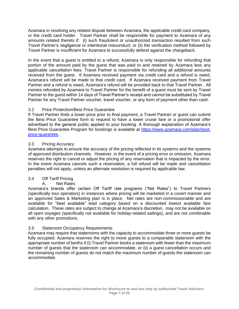Azamara in resolving any related dispute between Azamara, the applicable credit card company, or the credit card holder. Travel Partner shall be responsible for payment to Azamara of any amounts related thereto if: (i) such fraudulent or unauthorized transaction resulted from such Travel Partner's negligence or intentional misconduct; or (ii) the verification method followed by Travel Partner is insufficient for Azamara to successfully defend against the chargeback.

In the event that a guest is entitled to a refund, Azamara is only responsible for refunding that portion of the amount paid by the guest that was paid to and retained by Azamara less any applicable cancellation fees. Travel Partner is responsible for refunding all additional amounts received from the guest. If Azamara received payment via credit card and a refund is owed, Azamara's refund will be made to that credit card. If Azamara received payment from Travel Partner and a refund is owed, Azamara's refund will be provided back to that Travel Partner. All monies refunded by Azamara to Travel Partner for the benefit of a guest must be sent by Travel Partner to the guest within 14 days of Travel Partner's receipt and cannot be substituted by Travel Partner for any Travel Partner voucher, travel voucher, or any form of payment other than cash.

# 3.2 Price Protection/Best Price Guarantee

If Travel Partner finds a lower price prior to final payment, a Travel Partner or guest can submit the Best Price Guarantee form to request to have a lower cruise fare or a promotional offer advertised to the general public applied to your booking. A thorough explanation of Azamara's Best Price Guarantee Program for bookings is available at [https://www.azamara.com/plan/best](https://www.azamara.com/plan/best-price-guarantee)[price-guarantee.](https://www.azamara.com/plan/best-price-guarantee)

# 3.3 Pricing Accuracy

Azamara attempts to ensure the accuracy of the pricing reflected in its systems and the systems of approved distribution channels. However, in the event of a pricing error or omission, Azamara reserves the right to cancel or adjust the pricing of any reservation that is impacted by the error. In the event Azamara cancels such a reservation, a full refund will be made and cancellation penalties will not apply, unless an alternate resolution is required by applicable law.

# 3.4 Off Tariff Pricing

# A. Net Rates

Azamara's brands offer certain Off Tariff rate programs ("Net Rates") to Travel Partners (specifically tour operators) in instances where pricing will be marketed in a covert manner and an approved Sales & Marketing plan is in place. Net rates are non-commissionable and are available for "best available" lead category based on a discounted lowest available fare calculation. These rates are subject to change at Azamara's discretion, may not be available on all open voyages (specifically not available for holiday-related sailings), and are not combinable with any other promotions.

# 3.5 Stateroom Occupancy Requirements

Azamara may require that staterooms with the capacity to accommodate three or more guests be fully occupied. Azamara reserves the right to move guests to a comparable stateroom with the appropriate number of berths if (i) Travel Partner books a stateroom with fewer than the maximum number of guests that the stateroom can accommodate, or (ii) a guest cancellation occurs and the remaining number of guests do not match the maximum number of guests the stateroom can accommodate.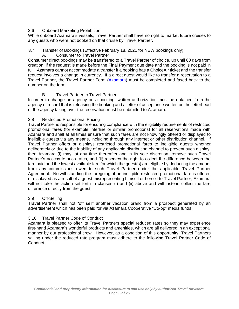### 3.6 Onboard Marketing Prohibition

While onboard Azamara's vessels, Travel Partner shall have no right to market future cruises to any guests who were not booked on that cruise by Travel Partner.

### 3.7 Transfer of Bookings (Effective February 18, 2021 for NEW bookings only)

A. Consumer to Travel Partner

Consumer direct bookings may be transferred to a Travel Partner of choice, up until 60 days from creation, if the request is made before the Final Payment due date and the booking is not paid in full. Azamara cannot accommodate a transfer if a booking has a ChoiceAir ticket and the transfer request involves a change in currency. If a direct guest would like to transfer a reservation to a Travel Partner, the Travel Partner Form [\(Azamara\)](https://secure.cruisingpower.com/content/en_US/PDF/2010_AZAMARATransferForm.pdf) must be completed and faxed back to the number on the form.

# B. Travel Partner to Travel Partner

In order to change an agency on a booking, written authorization must be obtained from the agency of record that is releasing the booking and a letter of acceptance written on the letterhead of the agency taking over the reservation must be submitted to Azamara.

# 3.8 Restricted Promotional Pricing

Travel Partner is responsible for ensuring compliance with the eligibility requirements of restricted promotional fares (for example Interline or similar promotions) for all reservations made with Azamara and shall at all times ensure that such fares are not knowingly offered or displayed to ineligible guests via any means, including through any internet or other distribution channel. If Travel Partner offers or displays restricted promotional fares to ineligible guests whether deliberately or due to the inability of any applicable distribution channel to prevent such display, then Azamara (i) may, at any time thereafter and in its sole discretion, remove such Travel Partner's access to such rates, and (ii) reserves the right to collect the difference between the fare paid and the lowest available fare for which the guest(s) are eligible by deducting the amount from any commissions owed to such Travel Partner under the applicable Travel Partner Agreement. Notwithstanding the foregoing, if an ineligible restricted promotional fare is offered or displayed as a result of a guest misrepresenting himself or herself to Travel Partner, Azamara will not take the action set forth in clauses (i) and (ii) above and will instead collect the fare difference directly from the guest.

### 3.9 Off-Selling

Travel Partner shall not "off sell" another vacation brand from a prospect generated by an advertisement which has been paid for via Azamara Cooperative "Co-op" media funds.

### 3.10 Travel Partner Code of Conduct

Azamara is pleased to offer its Travel Partners special reduced rates so they may experience first-hand Azamara's wonderful products and amenities, which are all delivered in an exceptional manner by our professional crew. However, as a condition of this opportunity, Travel Partners sailing under the reduced rate program must adhere to the following Travel Partner Code of Conduct.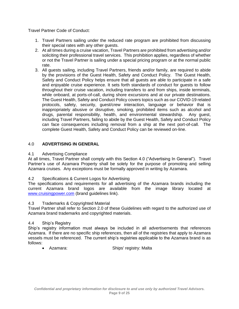<span id="page-8-0"></span>Travel Partner Code of Conduct:

- 1. Travel Partners sailing under the reduced rate program are prohibited from discussing their special rates with any other guests.
- 2. At all times during a cruise vacation, Travel Partners are prohibited from advertising and/or soliciting their professional travel services. This prohibition applies, regardless of whether or not the Travel Partner is sailing under a special pricing program or at the normal public rate.
- 3. All guests sailing, including Travel Partners, friends and/or family, are required to abide by the provisions of the Guest Health, Safety and Conduct Policy. The Guest Health, Safety and Conduct Policy helps ensure that all guests are able to participate in a safe and enjoyable cruise experience. It sets forth standards of conduct for guests to follow throughout their cruise vacation, including transfers to and from ships, inside terminals, while onboard, at ports-of-call, during shore excursions and at our private destinations. The Guest Health, Safety and Conduct Policy covers topics such as our COVID-19 related protocols, safety, security, guest/crew interaction, language or behavior that is inappropriately abusive or disruptive, smoking, prohibited items such as alcohol and drugs, parental responsibility, health, and environmental stewardship. Any guest, including Travel Partners, failing to abide by the Guest Health, Safety and Conduct Policy can face consequences including removal from a ship at the next port-of-call. The complete Guest Health, Safety and Conduct Policy can be reviewed on-line.

# 4.0 **ADVERTISING IN GENERAL**

### 4.1 Advertising Compliance

At all times, Travel Partner shall comply with this Section 4.0 ("Advertising In General"). Travel Partner's use of Azamara Property shall be solely for the purpose of promoting and selling Azamara cruises. Any exceptions must be formally approved in writing by Azamara.

### 4.2 Specifications & Current Logos for Advertising

The specifications and requirements for all advertising of the Azamara brands including the current Azamara brand logos are available from the image library located at [www.cruisingpower.com](http://www.cruisingpower.com/) (brand guidelines link).

### 4.3 Trademarks & Copyrighted Material

Travel Partner shall refer to Section 2.0 of these Guidelines with regard to the authorized use of Azamara brand trademarks and copyrighted materials.

### 4.4 Ship's Registry

Ship's registry information must always be included in all advertisements that references Azamara. If there are no specific ship references, then all of the registries that apply to Azamara vessels must be referenced. The current ship's registries applicable to the Azamara brand is as follows:

• Azamara: Ships' registry: Malta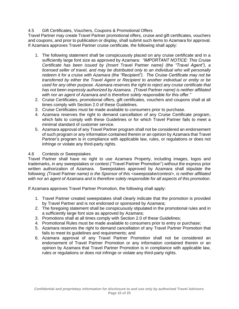# 4.5 Gift Certificates, Vouchers, Coupons & Promotional Offers

Travel Partner may create Travel Partner promotional offers, cruise and gift certificates, vouchers and coupons, and prior to publication or display, shall submit such items to Azamara for approval. If Azamara approves Travel Partner cruise certificate, the following shall apply:

- 1. The following statement shall be conspicuously placed on any cruise certificate and in a sufficiently large font size as approved by Azamara: *"IMPORTANT NOTICE: This Cruise Certificate has been issued by {Insert* Travel Partner *name} (the "Travel Agent"), a licensed seller of travel, and may be distributed only to an individual who will personally redeem it for a cruise with Azamara (the "Recipient"). The Cruise Certificate may not be transferred by either the Travel Agent or Recipient to another individual or entity or be used for any other purpose. Azamara reserves the right to reject any cruise certificate that has not been expressly authorized by Azamara. {*Travel Partner *name} is neither affiliated with nor an agent of Azamara and is therefore solely responsible for this offer."*
- 2. Cruise Certificates, promotional offers, gift certificates, vouchers and coupons shall at all times comply with Section 2.0 of these Guidelines.
- 3. Cruise Certificates must be made available to consumers prior to purchase.
- 4. Azamara reserves the right to demand cancellation of any Cruise Certificate program, which fails to comply with these Guidelines or for which Travel Partner fails to meet a minimal standard of customer service.
- 5. Azamara approval of any Travel Partner program shall not be considered an endorsement of such program or any information contained therein or an opinion by Azamara that Travel Partner's program is in compliance with applicable law, rules, or regulations or does not infringe or violate any third-party rights.

### 4.6 Contests or Sweepstakes

Travel Partner shall have no right to use Azamara Property, including images, logos and trademarks, in any sweepstakes or contest ("Travel Partner Promotion") without the express prior written authorization of Azamara. Sweepstakes approved by Azamara shall stipulate the following: *(*Travel Partner *name) is the Sponsor of this <sweepstake/contest>, is neither affiliated with nor an agent of Azamara and is therefore solely responsible for all aspects of this promotion.*

If Azamara approves Travel Partner Promotion, the following shall apply:

- 1. Travel Partner created sweepstakes shall clearly indicate that the promotion is provided by Travel Partner and is not endorsed or sponsored by Azamara;
- 2. The foregoing statement shall be conspicuously stipulated in the promotional rules and in a sufficiently large font size as approved by Azamara;
- 3. Promotions shall at all times comply with Section 2.0 of these Guidelines;
- 4. Promotional Rules must be made available to consumers prior to entry or purchase;
- 5. Azamara reserves the right to demand cancellation of any Travel Partner Promotion that fails to meet its guidelines and requirements; and
- 6. Azamara approval of any Travel Partner Promotion shall not be considered an endorsement of Travel Partner Promotion or any information contained therein or an opinion by Azamara that Travel Partner Promotion is in compliance with applicable law, rules or regulations or does not infringe or violate any third-party rights.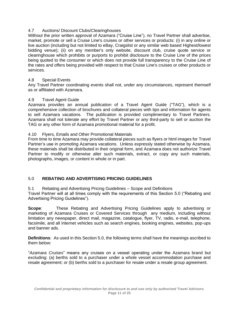# <span id="page-10-0"></span>4.7 Auctions/ Discount Clubs/Clearinghouses

Without the prior written approval of Azamara ("Cruise Line"), no Travel Partner shall advertise, market, promote or sell a Cruise Line's cruises or other services or products: (i) in any online or live auction (including but not limited to eBay, Craigslist or any similar web based Highest/lowest bidding venue); (ii) on any member's only website, discount club, cruise quote service or clearinghouse which prohibits or purports to prohibit disclosure to the Cruise Line of the prices being quoted to the consumer or which does not provide full transparency to the Cruise Line of the rates and offers being provided with respect to that Cruise Line's cruises or other products or services.

### 4.8 Special Events

Any Travel Partner coordinating events shall not, under any circumstances, represent themself as or affiliated with Azamara.

### 4.9 Travel Agent Guide

Azamara provides an annual publication of a Travel Agent Guide ("TAG"), which is a comprehensive collection of brochures and collateral pieces with tips and information for agents to sell Azamara vacations. The publication is provided complimentary to Travel Partners. Azamara shall not tolerate any effort by Travel Partner or any third-party to sell or auction the TAG or any other form of Azamara promotional material for a profit.

### 4.10 Flyers, Emails and Other Promotional Materials

From time to time Azamara may provide collateral pieces such as flyers or html images for Travel Partner's use in promoting Azamara vacations. Unless expressly stated otherwise by Azamara, these materials shall be distributed in their original form, and Azamara does not authorize Travel Partner to modify or otherwise alter such materials, extract, or copy any such materials, photographs, images, or content in whole or in part.

### 5.0 **REBATING AND ADVERTISING PRICING GUIDELINES**

5.1 Rebating and Advertising Pricing Guidelines – Scope and Definitions

Travel Partner will at all times comply with the requirements of this Section 5.0 ("Rebating and Advertising Pricing Guidelines").

**Scope**: These Rebating and Advertising Pricing Guidelines apply to advertising or marketing of Azamara Cruises or Covered Services through any medium, including without limitation any newspaper, direct mail, magazine, catalogue, flyer, TV, radio, e-mail, telephone, facsimile, and all Internet vehicles such as search engines, booking engines, websites, pop-ups and banner ads.

**Definitions**: As used in this Section 5.0, the following terms shall have the meanings ascribed to them below:

"*Azamara Cruises*" means any cruises on a vessel operating under the Azamara brand but excluding: (a) berths sold to a purchaser under a whole vessel accommodation purchase and resale agreement; or (b) berths sold to a purchaser for resale under a resale group agreement.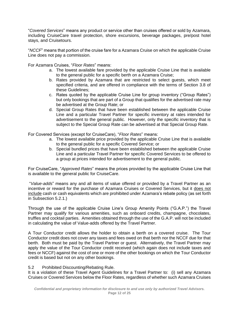"*Covered Services*" means any product or service other than cruises offered or sold by Azamara, including CruiseCare travel protection, shore excursions, beverage packages, pre/post hotel stays, and Cruisetours.

"*NCCF*" means that portion of the cruise fare for a Azamara Cruise on which the applicable Cruise Line does not pay a commission.

For Azamara Cruises, "*Floor Rates*" means:

- a. The lowest available fare provided by the applicable Cruise Line that is available to the general public for a specific berth on a Azamara Cruise;
- b. Rates provided by Azamara that are restricted to select guests, which meet specified criteria, and are offered in compliance with the terms of Section 3.8 of these Guidelines;
- c. Rates quoted by the applicable Cruise Line for group inventory ("Group Rates") but only bookings that are part of a Group that qualifies for the advertised rate may be advertised at the Group Rate; or
- d. Special Group Rates that have been established between the applicable Cruise Line and a particular Travel Partner for specific inventory at rates intended for advertisement to the general public. However, only the specific inventory that is subject to the Special Group Rate can be advertised at that Special Group Rate.

For Covered Services (except for CruiseCare), "*Floor Rates*" means:

- a. The lowest available price provided by the applicable Cruise Line that is available to the general public for a specific Covered Service; or
- b. Special bundled prices that have been established between the applicable Cruise Line and a particular Travel Partner for specific Covered Services to be offered to a group at prices intended for advertisement to the general public.

For CruiseCare, "*Approved Rates*" means the prices provided by the applicable Cruise Line that is available to the general public for CruiseCare.

"*Value-adds*" means any and all items of value offered or provided by a Travel Partner as an incentive or reward for the purchase of Azamara Cruises or Covered Services, but it does not include cash or cash equivalents which are prohibited under Azamara's rebate policy (as set forth in Subsection 5.2.1.)

Through the use of the applicable Cruise Line's Group Amenity Points ("G.A.P.") the Travel Partner may qualify for various amenities, such as onboard credits, champagne, chocolates, truffles and cocktail parties. Amenities obtained through the use of the G.A.P. will not be included in calculating the value of Value-adds offered by the Travel Partner.

A Tour Conductor credit allows the holder to obtain a berth on a covered cruise. The Tour Conductor credit does not cover any taxes and fees owed on that berth nor the NCCF due for that berth. Both must be paid by the Travel Partner or guest. Alternatively, the Travel Partner may apply the value of the Tour Conductor credit received (which again does not include taxes and fees or NCCF) against the cost of one or more of the other bookings on which the Tour Conductor credit is based but not on any other bookings.

### 5.2 Prohibited Discounting/Rebating Rule.

It is a violation of these Travel Agent Guidelines for a Travel Partner to: (i) sell any Azamara Cruises or Covered Services below the Floor Rates, regardless of whether such Azamara Cruises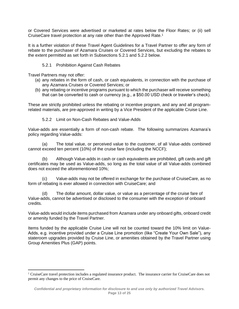or Covered Services were advertised or marketed at rates below the Floor Rates; or (ii) sell CruiseCare travel protection at any rate other than the Approved Rate.<sup>1</sup>

It is a further violation of these Travel Agent Guidelines for a Travel Partner to offer any form of rebate to the purchaser of Azamara Cruises or Covered Services, but excluding the rebates to the extent permitted as set forth in Subsections 5.2.1 and 5.2.2 below.

### 5.2.1 Prohibition Against Cash Rebates

Travel Partners may not offer:

- (a) any rebates in the form of cash, or cash equivalents, in connection with the purchase of any Azamara Cruises or Covered Services; or
- (b) any rebating or incentive programs pursuant to which the purchaser will receive something that can be converted to cash or currency (e.g., a \$50.00 USD check or traveler's check).

These are strictly prohibited unless the rebating or incentive program, and any and all programrelated materials, are pre-approved in writing by a Vice President of the applicable Cruise Line.

5.2.2 Limit on Non-Cash Rebates and Value-Adds

Value-adds are essentially a form of non-cash rebate. The following summarizes Azamara's policy regarding Value-adds:

(a) The total value, or perceived value to the customer, of all Value-adds combined cannot exceed ten percent (10%) of the cruise fare (including the NCCF);

(b) Although Value-adds in cash or cash equivalents are prohibited, gift cards and gift certificates may be used as Value-adds, so long as the total value of all Value-adds combined does not exceed the aforementioned 10%;

(c) Value-adds may not be offered in exchange for the purchase of CruiseCare, as no form of rebating is ever allowed in connection with CruiseCare; and

(d) The dollar amount, dollar value, or value as a percentage of the cruise fare of Value-adds, cannot be advertised or disclosed to the consumer with the exception of onboard credits.

Value-adds would include items purchased from Azamara under any onboard gifts, onboard credit or amenity funded by the Travel Partner.

Items funded by the applicable Cruise Line will not be counted toward the 10% limit on Value-Adds, e.g. incentive provided under a Cruise Line promotion (like "Create Your Own Sale"), any stateroom upgrades provided by Cruise Line, or amenities obtained by the Travel Partner using Group Amenities Plus (GAP) points.

<sup>1</sup> CruiseCare travel protection includes a regulated insurance product. The insurance carrier for CruiseCare does not permit any changes to the price of CruiseCare.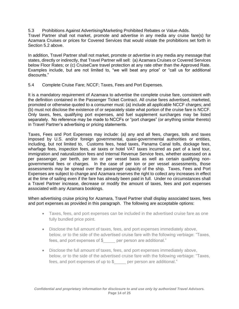5.3 Prohibitions Against Advertising/Marketing Prohibited Rebates or Value-Adds.

Travel Partner shall not market, promote and advertise in any media any cruise fare(s) for Azamara Cruises or prices for Covered Services that would violate the prohibitions set forth in Section 5.2 above.

In addition, Travel Partner shall not market, promote or advertise in any media any message that states, directly or indirectly, that Travel Partner will sell: (a) Azamara Cruises or Covered Services below Floor Rates; or (c) CruiseCare travel protection at any rate other than the Approved Rate. Examples include, but are not limited to, "we will beat any price" or "call us for additional discounts."

5.4 Complete Cruise Fare; NCCF; Taxes, Fees and Port Expenses.

It is a mandatory requirement of Azamara to advertise the complete cruise fare, consistent with the definition contained in the Passenger Ticket Contract. All cruise fares advertised, marketed, promoted or otherwise quoted to a consumer must: (a) include all applicable NCCF charges; and (b) must not disclose the existence of or separately state what portion of the cruise fare is NCCF. Only taxes, fees, qualifying port expenses, and fuel supplement surcharges may be listed separately. No reference may be made to NCCFs or "port charges" (or anything similar thereto) in Travel Partner's advertising or pricing statements.

Taxes, Fees and Port Expenses may include: (a) any and all fees, charges, tolls and taxes imposed by U.S. and/or foreign governmental, quasi-governmental authorities or entities, including, but not limited to, Customs fees, head taxes, Panama Canal tolls, dockage fees, wharfage fees, inspection fees, air taxes or hotel VAT taxes incurred as part of a land tour, immigration and naturalization fees and Internal Revenue Service fees, whether assessed on a per passenger, per berth, per ton or per vessel basis as well as certain qualifying nongovernmental fees or charges. In the case of per ton or per vessel assessments, those assessments may be spread over the passenger capacity of the ship. Taxes, Fees and Port Expenses are subject to change and Azamara reserves the right to collect any increases in effect at the time of sailing even if the fare has already been paid in full. Under no circumstances shall a Travel Partner increase, decrease or modify the amount of taxes, fees and port expenses associated with any Azamara bookings.

When advertising cruise pricing for Azamara, Travel Partner shall display associated taxes, fees and port expenses as provided in this paragraph. The following are acceptable options:

- Taxes, fees, and port expenses can be included in the advertised cruise fare as one fully bundled price point.
- Disclose the full amount of taxes, fees, and port expenses immediately above, below, or to the side of the advertised cruise fare with the following verbiage: "Taxes, fees, and port expenses of \$\_\_\_\_\_ per person are additional."
- Disclose the full amount of taxes, fees, and port expenses immediately above, below, or to the side of the advertised cruise fare with the following verbiage: "Taxes, fees, and port expenses of up to  $\frac{1}{2}$  per person are additional."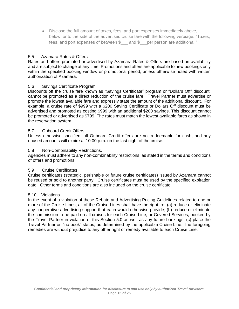• Disclose the full amount of taxes, fees, and port expenses immediately above, below, or to the side of the advertised cruise fare with the following verbiage: "Taxes, fees, and port expenses of between \$\_\_\_ and \$\_\_\_per person are additional."

# 5.5 Azamara Rates & Offers

Rates and offers promoted or advertised by Azamara Rates & Offers are based on availability and are subject to change at any time. Promotions and offers are applicable to new bookings only within the specified booking window or promotional period, unless otherwise noted with written authorization of Azamara.

### 5.6 Savings Certificate Program

Discounts off the cruise fare known as "Savings Certificate" program or "Dollars Off" discount, cannot be promoted as a direct reduction of the cruise fare. Travel Partner must advertise or promote the lowest available fare and expressly state the amount of the additional discount. For example, a cruise rate of \$999 with a \$200 Saving Certificate or Dollars Off discount must be advertised and promoted as costing \$999 with an additional \$200 savings. This discount cannot be promoted or advertised as \$799. The rates must match the lowest available fares as shown in the reservation system.

### 5.7 Onboard Credit Offers

Unless otherwise specified, all Onboard Credit offers are not redeemable for cash, and any unused amounts will expire at 10:00 p.m. on the last night of the cruise.

### 5.8 Non-Combinability Restrictions.

Agencies must adhere to any non-combinability restrictions, as stated in the terms and conditions of offers and promotions.

### 5.9 Cruise Certificates

Cruise certificates (strategic, perishable or future cruise certificates) issued by Azamara cannot be reused or sold to another party. Cruise certificates must be used by the specified expiration date. Other terms and conditions are also included on the cruise certificate.

### 5.10 Violations.

In the event of a violation of these Rebate and Advertising Pricing Guidelines related to one or more of the Cruise Lines, all of the Cruise Lines shall have the right to: (a) reduce or eliminate any cooperative advertising support that each would otherwise provide; (b) reduce or eliminate the commission to be paid on all cruises for each Cruise Line, or Covered Services, booked by the Travel Partner in violation of this Section 5.0 as well as any future bookings; (c) place the Travel Partner on "no book" status, as determined by the applicable Cruise Line. The foregoing remedies are without prejudice to any other right or remedy available to each Cruise Line.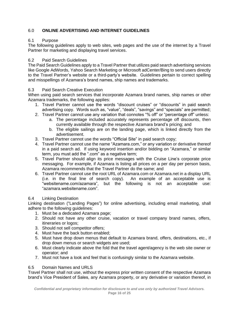# <span id="page-15-0"></span>6.0 **ONLINE ADVERTISING AND INTERNET GUIDELINES**

# 6.1 Purpose

The following guidelines apply to web sites, web pages and the use of the internet by a Travel Partner for marketing and displaying travel services.

# 6.2 Paid Search Guidelines

The Paid Search Guidelines apply to a Travel Partner that utilizes paid search advertising services like Google AdWords, Yahoo Search Marketing or Microsoft adCenter/Bing to send users directly to the Travel Partner's website or a third-party's website. Guidelines pertain to correct spelling and misspellings of Azamara's brand names, ship names and trademarks.

# 6.3 Paid Search Creative Execution

When using paid search services that incorporate Azamara brand names, ship names or other Azamara trademarks, the following applies:

- 1. Travel Partner cannot use the words "discount cruises" or "discounts" in paid search advertising copy. Words such as, "value", "deals", "savings" and "specials" are permitted;
- 2. Travel Partner cannot use any variation that connotes "% off" or "percentage off" unless:
	- a. The percentage included accurately represents percentage off discounts, then currently available through the respective Azamara brand's pricing; and
	- b. The eligible sailings are on the landing page, which is linked directly from the advertisement.
- 3. Travel Partner cannot use the words "Official Site" in paid search copy;
- 4. Travel Partner cannot use the name "Azamara.com," or any variation or derivative thereof in a paid search ad. If using keyword insertion and/or bidding on "Azamara," or similar term, you must add the ".com" as a negative term;
- 5. Travel Partner should align its price messages with the Cruise Line's corporate price messaging. For example, if Azamara is listing all prices on a per day per person basis, Azamara recommends that the Travel Partner do the same; and
- 6. Travel Partner cannot use the root URL of Azamara.com or Azamara.net in a display URL (i.e. in the final line of search copy). An example of an acceptable use is "websitename.com/azamara", but the following is not an acceptable use: "azamara.websitename.com".

# 6.4 Linking Destination

Linking destination ("Landing Pages") for online advertising, including email marketing, shall adhere to the following guidelines:

- 1. Must be a dedicated Azamara page;
- 2. Should not have any other cruise, vacation or travel company brand names, offers, itineraries or logos;
- 3. Should not sell competitor offers;
- 4. Must have the back button enabled;
- 5. Must have drop down menus that default to Azamara brand, offers, destinations, etc., if drop down menus or search widgets are used;
- 6. Must clearly indicate above the fold that the travel agent/agency is the web site owner or operator; and
- 7. Must not have a look and feel that is confusingly similar to the Azamara website.

# 6.5 Domain Names and URLS

Travel Partner shall not use, without the express prior written consent of the respective Azamara brand's Vice President of Sales, any Azamara property, or any derivative or variation thereof, in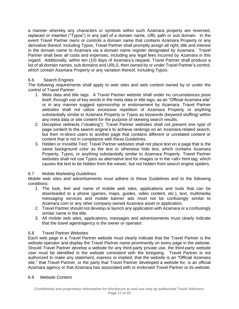a manner whereby any characters or symbols within such Azamara property are reversed, replaced or inserted ("Typos") in any part of a domain name, URL path or sub domain. In the event Travel Partner owns or controls a domain name that contains Azamara Property or any derivative thereof, including Typos, Travel Partner shall promptly assign all right, title and interest in the domain name to Azamara via a domain name register designated by Azamara. Travel Partner shall bear all costs and expenses, including any legal fees incurred by Azamara in this regard. Additionally, within ten (10) days of Azamara's request, Travel Partner shall produce a list of all domain names, sub domains and URLS, then owned by or under Travel Partner's control, which contain Azamara Property or any variation thereof, including Typos.

# 6.6 Search Engines

The following requirements shall apply to web sites and web content owned by or under the control of Travel Partner:

- 1. Meta data and title tags: A Travel Partner website shall under no circumstances pose itself, through use of key words in the meta data or title tags, as an "Official Azamara site" or in any manner suggest sponsorship or endorsement by Azamara. Travel Partner websites shall not utilize excessive repetition of Azamara Property or anything substantially similar to Azamara Property or Typos as keywords (keyword stuffing) within any meta data or site content for the purpose of skewing search results.
- 2. Deceptive redirects ("cloaking"): Travel Partner websites shall not present one type of page content to the search engine's to achieve rankings on an Azamara-related search, but then re-direct users to another page that contains different or unrelated content or content that is not in compliance with these Guidelines.
- 3. Hidden or Invisible Text: Travel Partner websites shall not place text on a page that is the same background color as the text or otherwise hide text, which contains Azamara Property, Typos, or anything substantially similar to Azamara Property. Travel Partner websites shall not use Typos as alternative text for images or in the <alt> html tag, which causes the text to be hidden from the viewer, but not hidden from search engine spiders.

# 6.7 Mobile Marketing Guidelines

Mobile web sites and advertisements must adhere to these Guidelines and to the following conditions:

- 1. The look, feel and name of mobile web sites, applications and tools that can be downloaded to a phone (games, maps, guides, video content, etc.), text, multimedia messaging services and mobile banner ads must not be confusingly similar to Azamara.com or any other company owned Azamara asset or application.
- 2. Travel Partner should not develop or launch any application with Azamara or a confusingly similar name in the title.
- 3. All mobile web sites, applications, messages and advertisements must clearly indicate that the travel agent/agency is the owner or operator.

### 6.8 Travel Partner Websites

Each web page in a Travel Partner website must clearly indicate that the Travel Partner is the website operator and display the Travel Partner name prominently on every page in the website. Should Travel Partner develop a website for any third-party private use, the third-party website user must be identified in the website consistent with the foregoing. Travel Partner is not authorized to make any statement, express or implied, that the website is an "Official Azamara site," that Travel Partner, or the party that Travel Partner developed a website for, is an official Azamara agency or that Azamara has associated with or endorsed Travel Partner or its website.

### 6.9 Website Content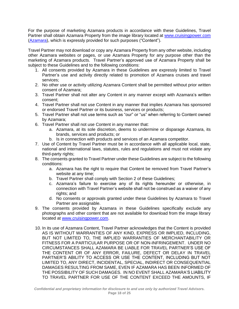For the purpose of marketing Azamara products in accordance with these Guidelines, Travel Partner shall obtain Azamara Property from the image library located at [www.cruisingpower.com](http://www.cruisingpower.com/) [\(Azamara\)](http://www.creative.rccl.com/Sales/Azamara/General_Info/AZA_Brand_Guidelines_Jan2010.pdf), which is expressly provided for such purposes ("Content").

Travel Partner may not download or copy any Azamara Property from any other website, including other Azamara websites or pages, or use Azamara Property for any purpose other than the marketing of Azamara products. Travel Partner's approved use of Azamara Property shall be subject to these Guidelines and to the following conditions:

- 1. All consents provided by Azamara in these Guidelines are expressly limited to Travel Partner's use and activity directly related to promotion of Azamara cruises and travel services;
- 2. No other use or activity utilizing Azamara Content shall be permitted without prior written consent of Azamara;
- 3. Travel Partner shall not alter any Content in any manner except with Azamara's written consent;
- 4. Travel Partner shall not use Content in any manner that implies Azamara has sponsored or endorsed Travel Partner or its business, services or products;
- 5. Travel Partner shall not use terms such as "our" or "us" when referring to Content owned by Azamara;
- 6. Travel Partner shall not use Content in any manner that:
	- a. Azamara, at its sole discretion, deems to undermine or disparage Azamara, its brands, services and products; or
	- b. Is in connection with products and services of an Azamara competitor.
- 7. Use of Content by Travel Partner must be in accordance with all applicable local, state, national and international laws, statutes, rules and regulations and must not violate any third-party rights;
- 8. The consents granted to Travel Partner under these Guidelines are subject to the following conditions:
	- a. Azamara has the right to require that Content be removed from Travel Partner's website at any time;
	- b. Travel Partner shall comply with Section 2 of these Guidelines;
	- c. Azamara's failure to exercise any of its rights hereunder or otherwise, in connection with Travel Partner's website shall not be construed as a waiver of any rights; and
	- d. No consents or approvals granted under these Guidelines by Azamara to Travel Partner are assignable.
- 9. The consents provided by Azamara in these Guidelines specifically exclude any photographs and other content that are not available for download from the image library located at [www.cruisingpower.com.](http://www.cruisingpower.com/)
- 10. In its use of Azamara Content, Travel Partner acknowledges that the Content is provided AS IS WITHOUT WARRANTIES OF ANY KIND, EXPRESS OR IMPLIED, INCLUDING, BUT NOT LIMITED TO, THE IMPLIED WARRANTIES OF MERCHANTABILITY OR FITNESS FOR A PARTICULAR PURPOSE OR OF NON-INFRINGEMENT. UNDER NO CIRCUMSTANCES SHALL AZAMARA BE LIABLE FOR TRAVEL PARTNER'S USE OF THE CONTENT OR OF ANY ERROR, FAILURE, DEFECT OR DELAY IN TRAVEL PARTNER'S ABILITY TO ACCESS OR USE THE CONTENT, INCLUDING BUT NOT LIMITED TO, ANY DIRECT, INCIDENTAL, SPECIAL, INDIRECT OR CONSEQUENTIAL DAMAGES RESULTING FROM SAME, EVEN IF AZAMARA HAS BEEN INFORMED OF THE POSSIBILITY OF SUCH DAMAGES. IN NO EVENT SHALL AZAMARA'S LIABILITY TO TRAVEL PARTNER FOR USE OF THE CONTENT EXCEED THE AMOUNTS, IF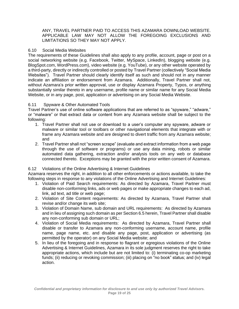ANY, TRAVEL PARTNER PAID TO ACCESS THIS AZAMARA DOWNLOAD WEBSITE. APPLICABLE LAW MAY NOT ALLOW THE FOREGOING EXCLUSIONS AND LIMITATIONS SO THEY MAY NOT APPLY.

### 6.10 Social Media Websites

The requirements of these Guidelines shall also apply to any profile, account, page or post on a social networking website (e.g. Facebook, Twitter, MySpace, LinkedIn), blogging website (e.g. BlogSpot.com, WordPress.com), video website (e.g. YouTube), or any other website operated by a third-party, directly or indirectly controlled or posted by Travel Partner (collectively "Social Media Websites"). Travel Partner should clearly identify itself as such and should not in any manner indicate an affiliation or endorsement from Azamara. Additionally, Travel Partner shall not, without Azamara's prior written approval, use or display Azamara Property, Typos, or anything substantially similar thereto in any username, profile name or similar name for any Social Media Website, or in any page, post, application or advertising on any Social Media Website.

### 6.11 Spyware & Other Automated Tools

Travel Partner's use of online software applications that are referred to as "spyware," "adware," or "malware" or that extract data or content from any Azamara website shall be subject to the following:

- 1. Travel Partner shall not use or download to a user's computer any spyware, adware or malware or similar tool or toolbars or other navigational elements that integrate with or frame any Azamara website and are designed to divert traffic from any Azamara website; and
- 2. Travel Partner shall not "screen scrape" (evaluate and extract information from a web page through the use of software or programs) or use any data mining, robots or similar automated data gathering, extraction and/or analysis tools on any web or database connected thereto. Exceptions may be granted with the prior written consent of Azamara.

# 6.12 Violations of the Online Advertising & Internet Guidelines

Azamara reserves the right, in addition to all other enforcements or actions available, to take the following steps in response to any violations of the Online Advertising and Internet Guidelines:

- 1. Violation of Paid Search requirements: As directed by Azamara, Travel Partner must disable non-conforming links, ads or web pages or make appropriate changes to each ad, link, ad text, ad title or web page;
- 2. Violation of Site Content requirements: As directed by Azamara, Travel Partner shall revise and/or change its web site;
- 3. Violation of Domain Name, sub domain and URL requirements: As directed by Azamara and in lieu of assigning such domain as per Section 6.5 herein, Travel Partner shall disable any non-conforming sub domain or URL;
- 4. Violation of Social Media requirements: As directed by Azamara, Travel Partner shall disable or transfer to Azamara any non-conforming username, account name, profile name, page name, etc. and disable any page, post, application or advertising (as permitted by the operator) on any Social Media website; and
- 5. In lieu of the foregoing and in response to flagrant or egregious violations of the Online Advertising & Internet Guidelines, Azamara in its sole judgment reserves the right to take appropriate actions, which include but are not limited to: (i) terminating co-op marketing funds; (ii) reducing or revoking commission; (iii) placing on "no book" status; and (iv) legal action.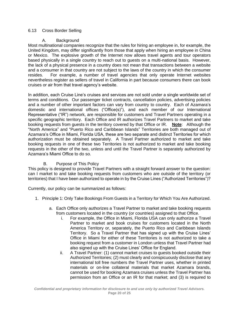# 6.13 Cross Border Selling

# A. Background

Most multinational companies recognize that the rules for hiring an employee in, for example, the United Kingdom, may differ significantly from those that apply when hiring an employee in China or Mexico. The explosive growth of the Internet now allows travel agents and tour operators based physically in a single country to reach out to guests on a multi-national basis. However, the lack of a physical presence in a country does not mean that transactions between a website and a consumer in that country are not subject to the laws of the country in which the consumer resides. For example, a number of travel agencies that only operate Internet websites nevertheless register as sellers of travel in California in part because consumers there can book cruises or air from that travel agency's website.

In addition, each Cruise Line's cruises and services are not sold under a single worldwide set of terms and conditions. Our passenger ticket contracts, cancellation policies, advertising policies and a number of other important factors can vary from country to country. Each of Azamara's domestic and international offices ("Office(s)"), and each member of our International Representative ("IR") network, are responsible for customers and Travel Partners operating in a specific geographic territory. Each Office and IR authorizes Travel Partners to market and take booking requests from guests in the territory covered by that Office or IR. **Note**: Although the "North America" and "Puerto Rico and Caribbean Islands" Territories are both managed out of Azamara's Office in Miami, Florida USA, these are two separate and distinct Territories for which authorization must be obtained separately. A Travel Partner authorized to market and take booking requests in one of these two Territories is not authorized to market and take booking requests in the other of the two, unless and until the Travel Partner is separately authorized by Azamara's Miami Office to do so.

# B. Purpose of This Policy

This policy is designed to provide Travel Partners with a straight forward answer to the question: can I market to and take booking requests from customers who are outside of the territory (or territories) that I have been authorized to operate in by the Cruise Lines ("Authorized Territories")?

Currently, our policy can be summarized as follows:

- 1. Principle 1: Only Take Bookings From Guests in a Territory for Which You Are Authorized.
	- a. Each Office only authorizes a Travel Partner to market and take booking requests from customers located in the country (or countries) assigned to that Office.
		- i. For example, the Office in Miami, Florida USA can only authorize a Travel Partner to market and book cruises for customers located in the North America Territory or, separately, the Puerto Rico and Caribbean Islands Territory. So a Travel Partner that has signed up with the Cruise Lines' Office in Miami for either of these Territories is not authorized to take a booking request from a customer in London unless that Travel Partner had also signed up with the Cruise Lines' Office for England.
		- ii. A Travel Partner: (1) cannot market cruises to guests booked outside their Authorized Territories; (2) must clearly and conspicuously disclose that any international toll free numbers the Travel Partner uses, whether in printed materials or on-line collateral materials that market Azamara brands, cannot be used for booking Azamara cruises unless the Travel Partner has permission from an Office or an IR for that market; and (3) is required to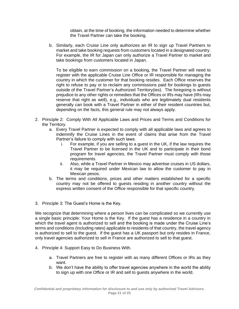obtain, at the time of booking, the information needed to determine whether the Travel Partner can take the booking.

b. Similarly, each Cruise Line only authorizes an IR to sign up Travel Partners to market and take booking requests from customers located in a designated country. For example, the IR for Japan can only authorize a Travel Partner to market and take bookings from customers located in Japan.

To be eligible to earn commission on a booking, the Travel Partner will need to register with the applicable Cruise Line Office or IR responsible for managing the country in which the customer for that booking resides. Each Office reserves the right to refuse to pay or to reclaim any commissions paid for bookings to guests outside of the Travel Partner's Authorized Territory(ies). The foregoing is without prejudice to any other rights or remedies that the Offices or IRs may have (IRs may reserve that right as well), e.g., individuals who are legitimately dual residents generally can book with a Travel Partner in either of their resident countries but, depending on the facts, this general rule may not always apply.

- 2. Principle 2: Comply With All Applicable Laws and Prices and Terms and Conditions for the Territory.
	- a. Every Travel Partner is expected to comply with all applicable laws and agrees to indemnify the Cruise Lines in the event of claims that arise from the Travel Partner's failure to comply with such laws.
		- i. For example, if you are selling to a guest in the UK, if the law requires the Travel Partner to be licensed in the UK and to participate in their bond program for travel agencies, the Travel Partner must comply with those requirements.
		- ii. Also, while a Travel Partner in Mexico may advertise cruises in US dollars, it may be required under Mexican law to allow the customer to pay in Mexican pesos.
	- b. The terms and conditions, prices and other matters established for a specific country may not be offered to guests residing in another country without the express written consent of the Office responsible for that specific country.
- 3. Principle 3: The Guest's Home is the Key.

We recognize that determining where a person lives can be complicated so we currently use a single basic principle: Your Home is the Key. If the guest has a residence in a country in which the travel agent is authorized to sell and the booking is made under the Cruise Line's terms and conditions (including rates) applicable to residents of that country, the travel agency is authorized to sell to the guest. If the guest has a UK passport but only resides in France, only travel agencies authorized to sell in France are authorized to sell to that guest.

- 4. Principle 4: Support Easy to Do Business With.
	- a. Travel Partners are free to register with as many different Offices or IRs as they want.
	- b. We don't have the ability to offer travel agencies anywhere in the world the ability to sign up with one Office or IR and sell to guests anywhere in the world.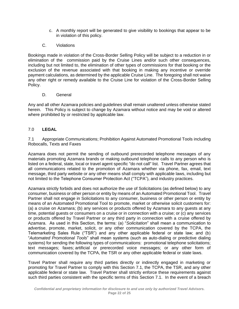- <span id="page-21-0"></span>c. A monthly report will be generated to give visibility to bookings that appear to be in violation of this policy.
- C. Violations

Bookings made in violation of the Cross-Border Selling Policy will be subject to a reduction in or elimination of the commission paid by the Cruise Lines and/or such other consequences, including but not limited to, the elimination of other types of commissions for that booking or the exclusion of the revenue associated with that booking in making any incentive or override payment calculations, as determined by the applicable Cruise Line. The foregoing shall not waive any other right or remedy available to the Cruise Line for violation of the Cross-Border Selling Policy.

D. General

Any and all other Azamara policies and guidelines shall remain unaltered unless otherwise stated herein. This Policy is subject to change by Azamara without notice and may be void or altered where prohibited by or restricted by applicable law.

# 7.0 **LEGAL**

7.1 Appropriate Communications; Prohibition Against Automated Promotional Tools including Robocalls, Texts and Faxes

Azamara does not permit the sending of outbound prerecorded telephone messages of any materials promoting Azamara brands or making outbound telephone calls to any person who is listed on a federal, state, local or travel agent specific "do not call" list. Travel Partner agrees that all communications related to the promotion of Azamara whether via phone, fax, email, text message, third party website or any other means shall comply with applicable laws, including but not limited to the Telephone Consumer Protection Act ("TCPA"), and industry practices.

Azamara strictly forbids and does not authorize the use of Solicitations (as defined below) to any consumer, business or other person or entity by means of an Automated Promotional Tool. Travel Partner shall not engage in Solicitations to any consumer, business or other person or entity by means of an Automated Promotional Tool to promote, market or otherwise solicit customers for: (a) a cruise on Azamara; (b) any services or products offered by Azamara to any guests at any time, potential guests or consumers on a cruise or in connection with a cruise; or (c) any services or products offered by Travel Partner or any third party in connection with a cruise offered by Azamara. As used in this Section, the terms: (a) "*Solicitation*" shall mean a communication to advertise, promote, market, solicit, or any other communication covered by the TCPA, the Telemarketing Sales Rule ("TSR") and any other applicable federal or state law; and (b) "*Automated Promotional Tools*" shall mean systems (such as auto-dialing or predictive dialing systems) for sending the following types of communications: promotional telephone solicitations; text messages; faxes; artificial or prerecorded voice messages; or any other form of communication covered by the TCPA, the TSR or any other applicable federal or state laws.

Travel Partner shall require any third parties directly or indirectly engaged in marketing or promoting for Travel Partner to comply with this Section 7.1, the TCPA, the TSR, and any other applicable federal or state law. Travel Partner shall strictly enforce these requirements against such third parties consistent with the specific terms of this Section 7.1. In the event of a breach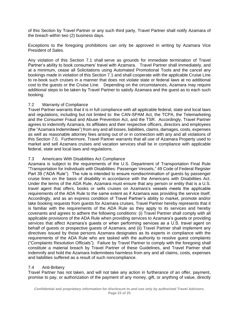of this Section by Travel Partner or any such third party, Travel Partner shall notify Azamara of the breach within two (2) business days.

Exceptions to the foregoing prohibitions can only be approved in writing by Azamara Vice President of Sales.

Any violation of this Section 7.1 shall serve as grounds for immediate termination of Travel Partner's ability to book consumers' travel with Azamara. Travel Partner shall immediately, and at a minimum, cease all Solicitations using Automated Promotional Tools and the cancel any bookings made in violation of this Section 7.1 and shall cooperate with the applicable Cruise Line to re-book such cruises in a manner that does not violate state or federal laws at no additional cost to the guests or the Cruise Line. Depending on the circumstances, Azamara may require additional steps to be taken by Travel Partner to satisfy Azamara and the guest as to each such booking.

### 7.2 Warranty of Compliance

Travel Partner warrants that it is in full compliance with all applicable federal, state and local laws and regulations, including but not limited to: the CAN-SPAM Act, the TCPA, the Telemarketing and the Consumer Fraud and Abuse Prevention Act, and the TSR. Accordingly, Travel Partner agrees to indemnify Azamara, its affiliates and their respective officers, directors and employees (the "Azamara Indemnitees") from any and all losses, liabilities, claims, damages, costs, expenses as well as reasonable attorney fees arising out of or in connection with any and all violations of this Section 7.0. Furthermore, Travel Partner warrants that all use of Azamara Property used to market and sell Azamara cruises and vacation services shall be in compliance with applicable federal, state and local laws and regulations.

### 7.3 Americans With Disabilities Act Compliance

Azamara is subject to the requirements of the U.S. Department of Transportation Final Rule "Transportation for Individuals with Disabilities: Passenger Vessels," 49 Code of Federal Register Part 39 ("ADA Rule"). The rule is intended to ensure nondiscrimination of guests by passenger cruise lines on the basis of disability in accordance with the Americans with Disabilities Act. Under the terms of the ADA Rule, Azamara must ensure that any person or entity that is a U.S. travel agent that offers, books or sells cruises on Azamara's vessels meets the applicable requirements of the ADA Rule to the same extent as if Azamara was providing the service itself. Accordingly, and as an express condition of Travel Partner's ability to market, promote and/or take booking requests from guests for Azamara cruises, Travel Partner hereby represents that it is familiar with the requirements of the ADA Rule as they apply to its services and hereby covenants and agrees to adhere the following conditions: (i) Travel Partner shall comply with all applicable provisions of the ADA Rule when providing services to Azamara's guests or providing services that affect Azamara's guests or when performing services as a U.S. travel agent on behalf of guests or prospective guests of Azamara; and (ii) Travel Partner shall implement any directives issued by those persons Azamara designates as its experts in compliance with the requirements of the ADA Rule who are tasked with the authority to resolve guest complaints ("Complaints Resolution Officials"). Failure by Travel Partner to comply with the foregoing shall constitute a material breach by Travel Partner of these Guidelines, and Travel Partner shall indemnify and hold the Azamara Indemnitees harmless from any and all claims, costs, expenses and liabilities suffered as a result of such noncompliance.

### 7.4 Anti-Bribery

Travel Partner has not taken, and will not take any action in furtherance of an offer, payment, promise to pay, or authorization of the payment of any money, gift, or anything of value, directly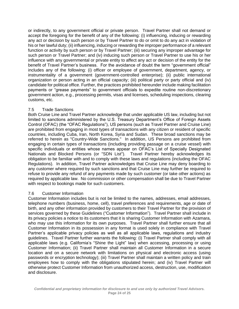or indirectly, to any government official or private person. Travel Partner shall not demand or accept the foregoing for the benefit of any of the following: (i) influencing, inducing or rewarding any act or decision by such person or by Travel Partner to do or omit to do any act in violation of his or her lawful duty; (ii) influencing, inducing or rewarding the improper performance of a relevant function or activity by such person or by Travel Partner; (iii) securing any improper advantage for such person or Travel Partner; and (iv) inducing such person or Travel Partner to use his or her influence with any governmental or private entity to affect any act or decision of the entity for the benefit of Travel Partner's business. For the avoidance of doubt the term "government official" includes any of the following: (i) officer or employee of government, department, agency, or instrumentality of a government (government-controlled enterprise); (ii) public international organization or person acting in an official capacity; (iii) political party or party official and (iv) candidate for political office. Further, the practices prohibited hereunder include making facilitation payments or "grease payments" to government officials to expedite routine non-discretionary government action, e.g., processing permits, visas and licenses, scheduling inspections, clearing customs, etc.

# 7.5 Trade Sanctions

Both Cruise Line and Travel Partner acknowledge that under applicable US law, including but not limited to sanctions administered by the U.S. Treasury Department's Office of Foreign Assets Control (OFAC) (the "OFAC Regulations"), US persons (such as Travel Partner and Cruise Line) are prohibited from engaging in most types of transactions with any citizen or resident of specific countries, including Cuba, Iran, North Korea, Syria and Sudan. These broad sanctions may be referred to herein as "Country-Wide Sanctions." In addition, US Persons are prohibited from engaging in certain types of transactions (including providing passage on a cruise vessel) with specific individuals or entities whose names appear on OFAC's List of Specially Designated Nationals and Blocked Persons (or "SDN List"). Travel Partner hereby acknowledges its obligation to be familiar with and to comply with these laws and regulations (including the OFAC Regulations). In addition, Travel Partner acknowledges that Cruise Line may deny boarding to any customer where required by such sanctions and that Cruise Line may further be required to refuse to provide any refund of any payments made by such customer (or take other actions) as required by applicable law. No commission or other compensation shall be due to Travel Partner with respect to bookings made for such customers.

# 7.6 Customer Information

Customer Information includes but is not be limited to the names, addresses, email addresses, telephone numbers (business, home, cell), travel preferences and requirements, age or date of birth, and any other information provided by customers to their Travel Partner for the provision of services governed by these Guidelines ("Customer Information"). Travel Partner shall include in its privacy policies a notice to its customers that it is sharing Customer Information with Azamara, who may use this information for its own purposes. Travel Partner shall further ensure that all Customer Information in its possession in any format is used solely in compliance with Travel Partner's applicable privacy policies as well as all applicable laws, regulations and industry guidelines. Travel Partner further warrants the following: (i) Travel Partner shall comply with all applicable laws (e.g. California's "Shine the Light" law) when accessing, processing or using Customer Information; (ii) Travel Partner shall maintain all Customer Information in a secure location and on a secure network with limitations on physical and electronic access (using passwords or encryption technology); (iii) Travel Partner shall maintain a written policy and train employees how to comply with the obligations stipulated herein; and (iv) Travel Partner will otherwise protect Customer Information from unauthorized access, destruction, use, modification and disclosure.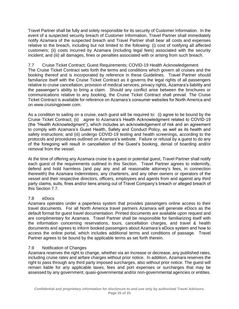Travel Partner shall be fully and solely responsible for its security of Customer Information. In the event of a suspected security breach of Customer Information, Travel Partner shall immediately notify Azamara of the suspected breach and Travel Partner shall bear all costs and expenses relative to the breach, including but not limited to the following: (i) cost of notifying all affected customers; (ii) costs incurred by Azamara (including legal fees) associated with the security incident; and (iii) all damages, fines or penalties associated with or arising from such breach.

### 7.7 Cruise Ticket Contract; Guest Requirements; COVID-19 Health Acknowledgement The Cruise Ticket Contract sets forth the terms and conditions which govern all cruises and the booking thereof and is incorporated by reference in these Guidelines. Travel Partner should familiarize itself with the Cruise Ticket Contract as it governs the legal rights of all passengers relative to cruise cancellation, provision of medical services, privacy rights, Azamara's liability and the passenger's ability to bring a claim. Should any conflict arise between the brochures or communications relative to any booking, the Cruise Ticket Contract shall prevail. The Cruise Ticket Contract is available for reference on Azamara's consumer websites for North America and on www.cruisingpower.com.

As a condition to sailing on a cruise, each guest will be required to: (i) agree to be bound by the Cruise Ticket Contract; (ii) agree to Azamara's Health Acknowledgment related to COVID-19 (the "Health Acknowledgment"), which includes an acknowledgement of risk and an agreement to comply with Azamara's Guest Health, Safety and Conduct Policy, as well as its health and safety instructions; and (iii) undergo COVID-19 testing and health screenings, according to the protocols and procedures outlined on Azamara's website. Failure or refusal by a guest to do any of the foregoing will result in cancellation of the Guest's booking, denial of boarding and/or removal from the vessel.

At the time of offering any Azamara cruise to a guest or potential guest, Travel Partner shall notify each guest of the requirements outlined in this Section. Travel Partner agrees to indemnify, defend and hold harmless (and pay any and all reasonable attorney's fees, in connection therewith) the Azamara Indemnitees, any charterers, and any other owners or operators of the vessel and their respective directors, officers, employees and agents from and against any third party claims, suits, fines and/or liens arising out of Travel Company's breach or alleged breach of this Section 7.7.

# 7.8 eDocs

Azamara operates under a paperless system that provides passengers online access to their travel documents. For all North America travel partners Azamara will generate eDocs as the default format for guest travel documentation. Printed documents are available upon request and are complimentary for Azamara. Travel Partner shall be responsible for familiarizing itself with the information concerning reservations, tours, cancellation charges, and travel & health documents and agrees to inform booked passengers about Azamara's eDocs system and how to access the online portal, which includes additional terms and conditions of passage. Travel Partner agrees to be bound by the applicable terms as set forth therein.

# 7.9 Notification of Changes

Azamara reserves the right to change, whether via an increase or decrease, any published rates, including cruise rates and airfare charges without prior notice. In addition, Azamara reserves the right to pass through any third party imposed surcharges, also without prior notice. The guest will remain liable for any applicable taxes, fees and port expenses or surcharges that may be assessed by any government, quasi-governmental and/or non-governmental agencies or entities.